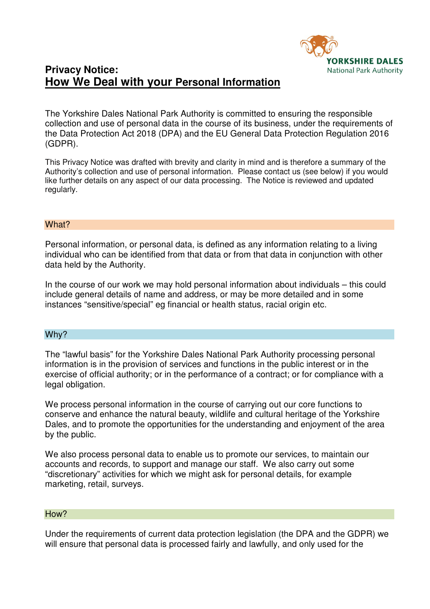

# **Privacy Notice: How We Deal with your Personal Information**

The Yorkshire Dales National Park Authority is committed to ensuring the responsible collection and use of personal data in the course of its business, under the requirements of the Data Protection Act 2018 (DPA) and the EU General Data Protection Regulation 2016 (GDPR).

This Privacy Notice was drafted with brevity and clarity in mind and is therefore a summary of the Authority's collection and use of personal information. Please contact us (see below) if you would like further details on any aspect of our data processing. The Notice is reviewed and updated regularly.

### What?

Personal information, or personal data, is defined as any information relating to a living individual who can be identified from that data or from that data in conjunction with other data held by the Authority.

In the course of our work we may hold personal information about individuals – this could include general details of name and address, or may be more detailed and in some instances "sensitive/special" eg financial or health status, racial origin etc.

#### Why?

The "lawful basis" for the Yorkshire Dales National Park Authority processing personal information is in the provision of services and functions in the public interest or in the exercise of official authority; or in the performance of a contract; or for compliance with a legal obligation.

We process personal information in the course of carrying out our core functions to conserve and enhance the natural beauty, wildlife and cultural heritage of the Yorkshire Dales, and to promote the opportunities for the understanding and enjoyment of the area by the public.

We also process personal data to enable us to promote our services, to maintain our accounts and records, to support and manage our staff. We also carry out some "discretionary" activities for which we might ask for personal details, for example marketing, retail, surveys.

#### How?

Under the requirements of current data protection legislation (the DPA and the GDPR) we will ensure that personal data is processed fairly and lawfully, and only used for the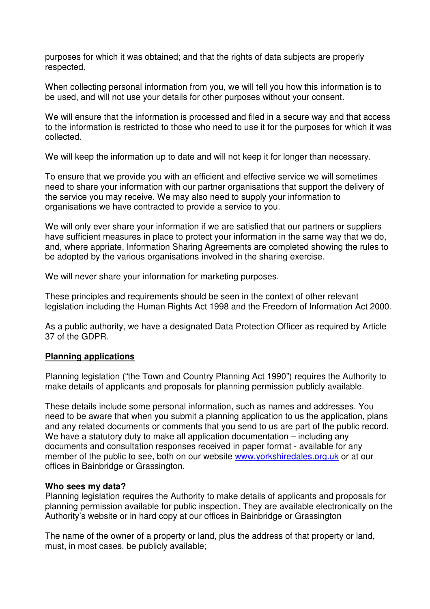purposes for which it was obtained; and that the rights of data subjects are properly respected.

When collecting personal information from you, we will tell you how this information is to be used, and will not use your details for other purposes without your consent.

We will ensure that the information is processed and filed in a secure way and that access to the information is restricted to those who need to use it for the purposes for which it was collected.

We will keep the information up to date and will not keep it for longer than necessary.

To ensure that we provide you with an efficient and effective service we will sometimes need to share your information with our partner organisations that support the delivery of the service you may receive. We may also need to supply your information to organisations we have contracted to provide a service to you.

We will only ever share your information if we are satisfied that our partners or suppliers have sufficient measures in place to protect your information in the same way that we do, and, where appriate, Information Sharing Agreements are completed showing the rules to be adopted by the various organisations involved in the sharing exercise.

We will never share your information for marketing purposes.

These principles and requirements should be seen in the context of other relevant legislation including the Human Rights Act 1998 and the Freedom of Information Act 2000.

As a public authority, we have a designated Data Protection Officer as required by Article 37 of the GDPR.

## **Planning applications**

Planning legislation ("the Town and Country Planning Act 1990") requires the Authority to make details of applicants and proposals for planning permission publicly available.

These details include some personal information, such as names and addresses. You need to be aware that when you submit a planning application to us the application, plans and any related documents or comments that you send to us are part of the public record. We have a statutory duty to make all application documentation – including any documents and consultation responses received in paper format - available for any member of the public to see, both on our website www.yorkshiredales.org.uk or at our offices in Bainbridge or Grassington.

#### **Who sees my data?**

Planning legislation requires the Authority to make details of applicants and proposals for planning permission available for public inspection. They are available electronically on the Authority's website or in hard copy at our offices in Bainbridge or Grassington

The name of the owner of a property or land, plus the address of that property or land, must, in most cases, be publicly available;